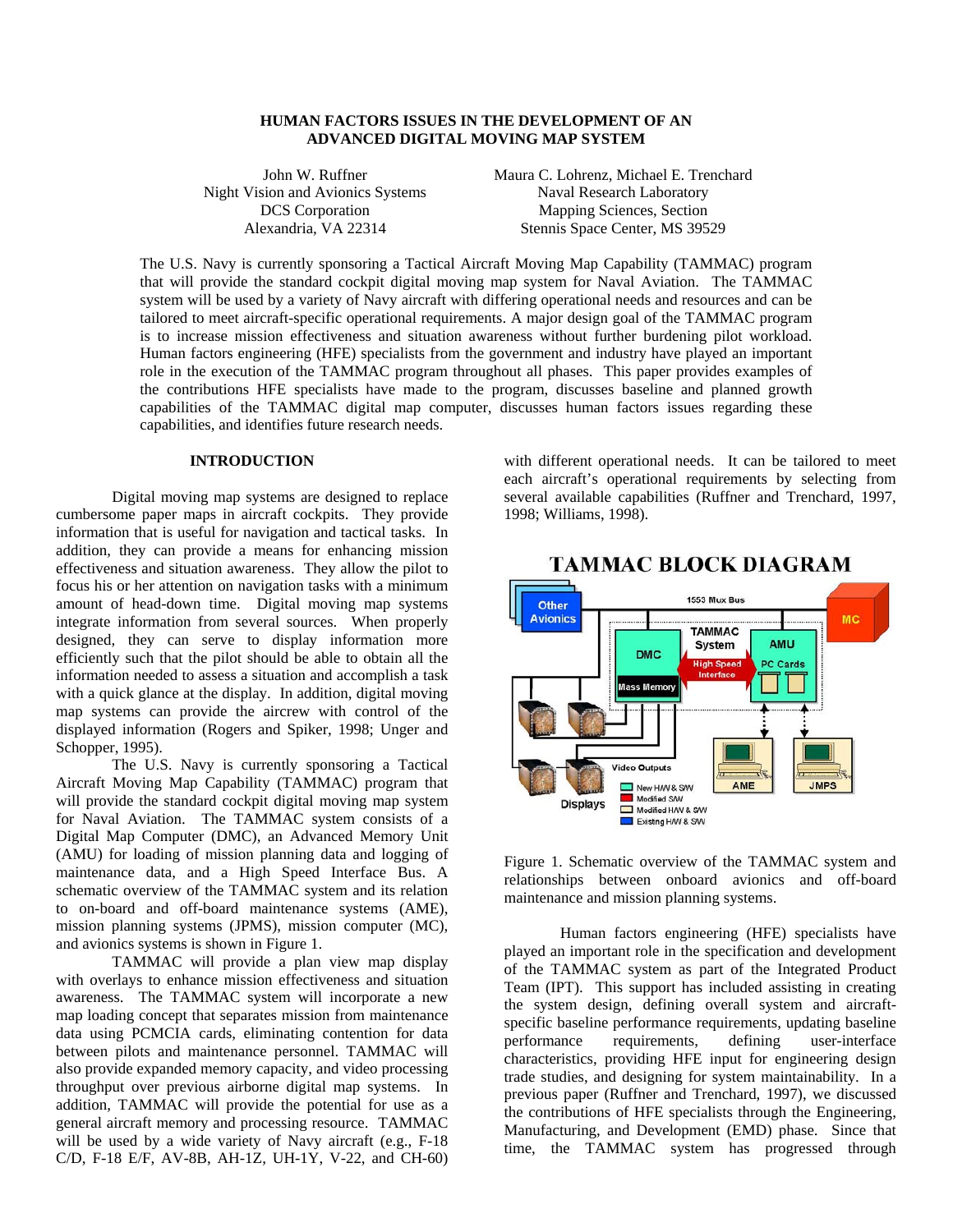### **HUMAN FACTORS ISSUES IN THE DEVELOPMENT OF AN ADVANCED DIGITAL MOVING MAP SYSTEM**

Night Vision and Avionics Systems Naval Research Laboratory

John W. Ruffner Maura C. Lohrenz, Michael E. Trenchard DCS Corporation Mapping Sciences, Section Alexandria, VA 22314 Stennis Space Center, MS 39529

The U.S. Navy is currently sponsoring a Tactical Aircraft Moving Map Capability (TAMMAC) program that will provide the standard cockpit digital moving map system for Naval Aviation. The TAMMAC system will be used by a variety of Navy aircraft with differing operational needs and resources and can be tailored to meet aircraft-specific operational requirements. A major design goal of the TAMMAC program is to increase mission effectiveness and situation awareness without further burdening pilot workload. Human factors engineering (HFE) specialists from the government and industry have played an important role in the execution of the TAMMAC program throughout all phases. This paper provides examples of the contributions HFE specialists have made to the program, discusses baseline and planned growth capabilities of the TAMMAC digital map computer, discusses human factors issues regarding these capabilities, and identifies future research needs.

# **INTRODUCTION**

 Digital moving map systems are designed to replace cumbersome paper maps in aircraft cockpits. They provide information that is useful for navigation and tactical tasks. In addition, they can provide a means for enhancing mission effectiveness and situation awareness. They allow the pilot to focus his or her attention on navigation tasks with a minimum amount of head-down time. Digital moving map systems integrate information from several sources. When properly designed, they can serve to display information more efficiently such that the pilot should be able to obtain all the information needed to assess a situation and accomplish a task with a quick glance at the display. In addition, digital moving map systems can provide the aircrew with control of the displayed information (Rogers and Spiker, 1998; Unger and Schopper, 1995).

 The U.S. Navy is currently sponsoring a Tactical Aircraft Moving Map Capability (TAMMAC) program that will provide the standard cockpit digital moving map system for Naval Aviation. The TAMMAC system consists of a Digital Map Computer (DMC), an Advanced Memory Unit (AMU) for loading of mission planning data and logging of maintenance data, and a High Speed Interface Bus. A schematic overview of the TAMMAC system and its relation to on-board and off-board maintenance systems (AME), mission planning systems (JPMS), mission computer (MC), and avionics systems is shown in Figure 1.

 TAMMAC will provide a plan view map display with overlays to enhance mission effectiveness and situation awareness. The TAMMAC system will incorporate a new map loading concept that separates mission from maintenance data using PCMCIA cards, eliminating contention for data between pilots and maintenance personnel. TAMMAC will also provide expanded memory capacity, and video processing throughput over previous airborne digital map systems. In addition, TAMMAC will provide the potential for use as a general aircraft memory and processing resource. TAMMAC will be used by a wide variety of Navy aircraft (e.g., F-18 C/D, F-18 E/F, AV-8B, AH-1Z, UH-1Y, V-22, and CH-60)

with different operational needs. It can be tailored to meet each aircraft's operational requirements by selecting from several available capabilities (Ruffner and Trenchard, 1997, 1998; Williams, 1998).



**TAMMAC BLOCK DIAGRAM** 

Figure 1. Schematic overview of the TAMMAC system and relationships between onboard avionics and off-board maintenance and mission planning systems.

 Human factors engineering (HFE) specialists have played an important role in the specification and development of the TAMMAC system as part of the Integrated Product Team (IPT). This support has included assisting in creating the system design, defining overall system and aircraftspecific baseline performance requirements, updating baseline performance requirements, defining user-interface characteristics, providing HFE input for engineering design trade studies, and designing for system maintainability. In a previous paper (Ruffner and Trenchard, 1997), we discussed the contributions of HFE specialists through the Engineering, Manufacturing, and Development (EMD) phase. Since that time, the TAMMAC system has progressed through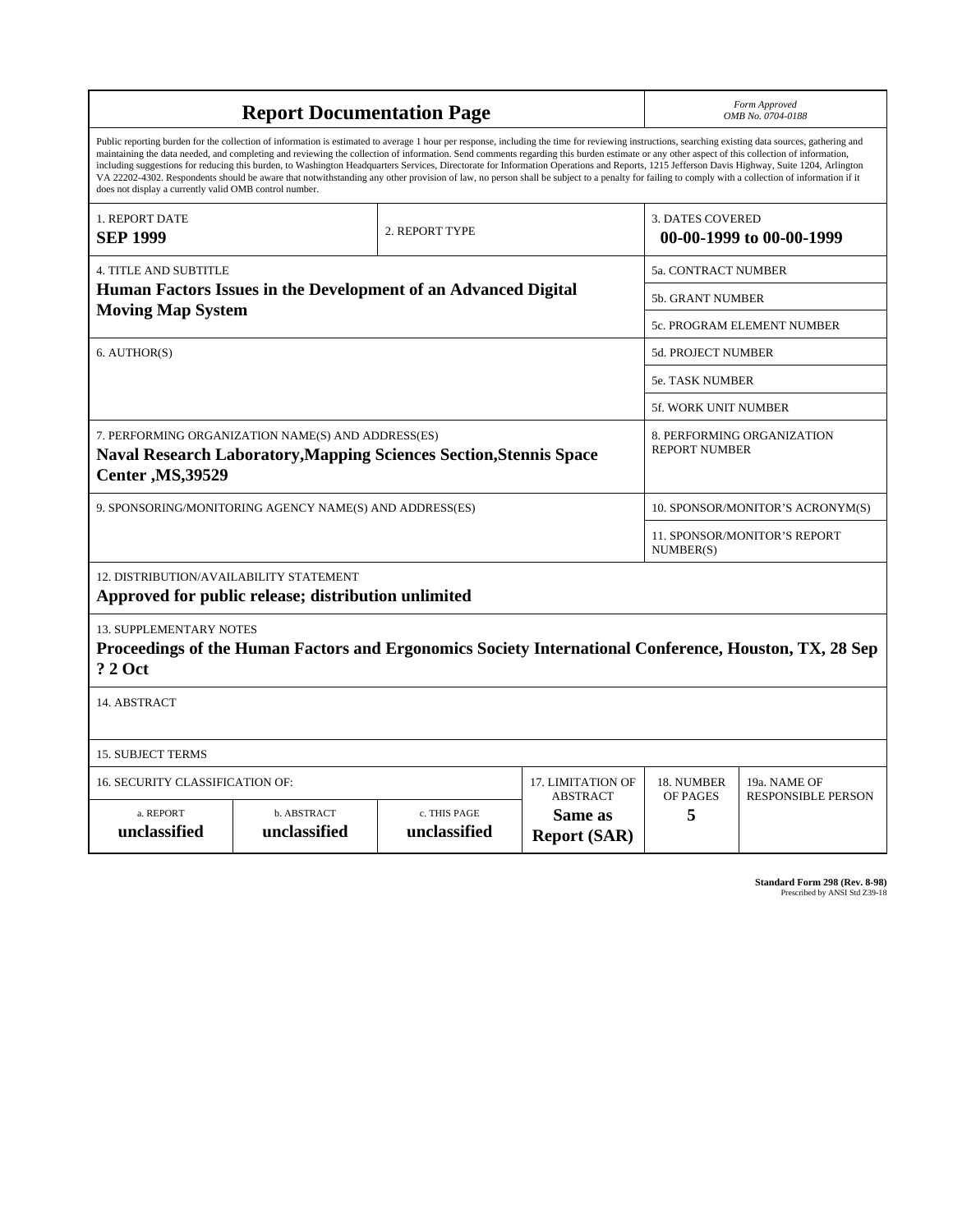| <b>Report Documentation Page</b>                                                                                                                             |                                                                                                                                                                                                                                                                                                                                                                                                                                                                                                                                                                                                                                                                                                                                                                                                          |                              |                                                   | Form Approved<br>OMB No. 0704-0188                  |                           |
|--------------------------------------------------------------------------------------------------------------------------------------------------------------|----------------------------------------------------------------------------------------------------------------------------------------------------------------------------------------------------------------------------------------------------------------------------------------------------------------------------------------------------------------------------------------------------------------------------------------------------------------------------------------------------------------------------------------------------------------------------------------------------------------------------------------------------------------------------------------------------------------------------------------------------------------------------------------------------------|------------------------------|---------------------------------------------------|-----------------------------------------------------|---------------------------|
| does not display a currently valid OMB control number.                                                                                                       | Public reporting burden for the collection of information is estimated to average 1 hour per response, including the time for reviewing instructions, searching existing data sources, gathering and<br>maintaining the data needed, and completing and reviewing the collection of information. Send comments regarding this burden estimate or any other aspect of this collection of information,<br>including suggestions for reducing this burden, to Washington Headquarters Services, Directorate for Information Operations and Reports, 1215 Jefferson Davis Highway, Suite 1204, Arlington<br>VA 22202-4302. Respondents should be aware that notwithstanding any other provision of law, no person shall be subject to a penalty for failing to comply with a collection of information if it |                              |                                                   |                                                     |                           |
| 1. REPORT DATE<br><b>SEP 1999</b>                                                                                                                            | 2. REPORT TYPE                                                                                                                                                                                                                                                                                                                                                                                                                                                                                                                                                                                                                                                                                                                                                                                           |                              |                                                   | <b>3. DATES COVERED</b><br>00-00-1999 to 00-00-1999 |                           |
| <b>4. TITLE AND SUBTITLE</b>                                                                                                                                 |                                                                                                                                                                                                                                                                                                                                                                                                                                                                                                                                                                                                                                                                                                                                                                                                          |                              |                                                   | 5a. CONTRACT NUMBER                                 |                           |
| Human Factors Issues in the Development of an Advanced Digital<br><b>Moving Map System</b>                                                                   |                                                                                                                                                                                                                                                                                                                                                                                                                                                                                                                                                                                                                                                                                                                                                                                                          |                              |                                                   | 5b. GRANT NUMBER                                    |                           |
|                                                                                                                                                              |                                                                                                                                                                                                                                                                                                                                                                                                                                                                                                                                                                                                                                                                                                                                                                                                          |                              |                                                   | 5c. PROGRAM ELEMENT NUMBER                          |                           |
| 6. AUTHOR(S)                                                                                                                                                 |                                                                                                                                                                                                                                                                                                                                                                                                                                                                                                                                                                                                                                                                                                                                                                                                          |                              |                                                   | <b>5d. PROJECT NUMBER</b>                           |                           |
|                                                                                                                                                              |                                                                                                                                                                                                                                                                                                                                                                                                                                                                                                                                                                                                                                                                                                                                                                                                          |                              |                                                   | 5e. TASK NUMBER                                     |                           |
|                                                                                                                                                              |                                                                                                                                                                                                                                                                                                                                                                                                                                                                                                                                                                                                                                                                                                                                                                                                          |                              |                                                   | 5f. WORK UNIT NUMBER                                |                           |
| 7. PERFORMING ORGANIZATION NAME(S) AND ADDRESS(ES)<br><b>Naval Research Laboratory, Mapping Sciences Section, Stennis Space</b><br><b>Center</b> , MS, 39529 |                                                                                                                                                                                                                                                                                                                                                                                                                                                                                                                                                                                                                                                                                                                                                                                                          |                              |                                                   | 8. PERFORMING ORGANIZATION<br><b>REPORT NUMBER</b>  |                           |
| 9. SPONSORING/MONITORING AGENCY NAME(S) AND ADDRESS(ES)                                                                                                      |                                                                                                                                                                                                                                                                                                                                                                                                                                                                                                                                                                                                                                                                                                                                                                                                          |                              |                                                   | 10. SPONSOR/MONITOR'S ACRONYM(S)                    |                           |
|                                                                                                                                                              |                                                                                                                                                                                                                                                                                                                                                                                                                                                                                                                                                                                                                                                                                                                                                                                                          |                              |                                                   | 11. SPONSOR/MONITOR'S REPORT<br>NUMBER(S)           |                           |
| 12. DISTRIBUTION/AVAILABILITY STATEMENT<br>Approved for public release; distribution unlimited                                                               |                                                                                                                                                                                                                                                                                                                                                                                                                                                                                                                                                                                                                                                                                                                                                                                                          |                              |                                                   |                                                     |                           |
| <b>13. SUPPLEMENTARY NOTES</b><br>Proceedings of the Human Factors and Ergonomics Society International Conference, Houston, TX, 28 Sep<br>? 2 Oct           |                                                                                                                                                                                                                                                                                                                                                                                                                                                                                                                                                                                                                                                                                                                                                                                                          |                              |                                                   |                                                     |                           |
| 14. ABSTRACT                                                                                                                                                 |                                                                                                                                                                                                                                                                                                                                                                                                                                                                                                                                                                                                                                                                                                                                                                                                          |                              |                                                   |                                                     |                           |
| <b>15. SUBJECT TERMS</b>                                                                                                                                     |                                                                                                                                                                                                                                                                                                                                                                                                                                                                                                                                                                                                                                                                                                                                                                                                          |                              |                                                   |                                                     |                           |
| 17. LIMITATION OF<br>16. SECURITY CLASSIFICATION OF:                                                                                                         |                                                                                                                                                                                                                                                                                                                                                                                                                                                                                                                                                                                                                                                                                                                                                                                                          |                              |                                                   | 18. NUMBER                                          | 19a. NAME OF              |
| a. REPORT<br>unclassified                                                                                                                                    | b. ABSTRACT<br>unclassified                                                                                                                                                                                                                                                                                                                                                                                                                                                                                                                                                                                                                                                                                                                                                                              | c. THIS PAGE<br>unclassified | <b>ABSTRACT</b><br>Same as<br><b>Report (SAR)</b> | OF PAGES<br>5                                       | <b>RESPONSIBLE PERSON</b> |

**Standard Form 298 (Rev. 8-98)**<br>Prescribed by ANSI Std Z39-18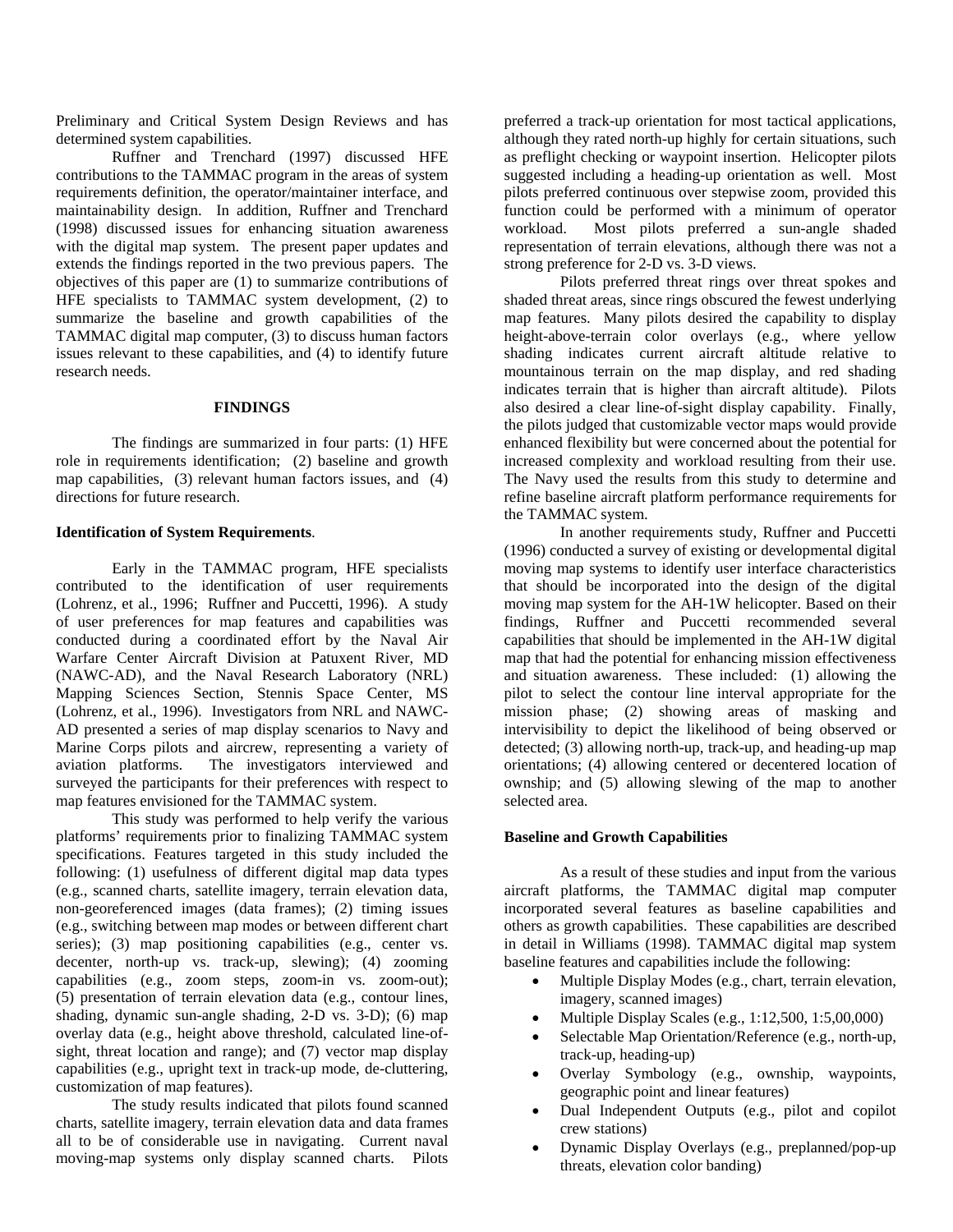Preliminary and Critical System Design Reviews and has determined system capabilities.

Ruffner and Trenchard (1997) discussed HFE contributions to the TAMMAC program in the areas of system requirements definition, the operator/maintainer interface, and maintainability design. In addition, Ruffner and Trenchard (1998) discussed issues for enhancing situation awareness with the digital map system. The present paper updates and extends the findings reported in the two previous papers. The objectives of this paper are (1) to summarize contributions of HFE specialists to TAMMAC system development, (2) to summarize the baseline and growth capabilities of the TAMMAC digital map computer, (3) to discuss human factors issues relevant to these capabilities, and (4) to identify future research needs.

#### **FINDINGS**

 The findings are summarized in four parts: (1) HFE role in requirements identification; (2) baseline and growth map capabilities, (3) relevant human factors issues, and (4) directions for future research.

### **Identification of System Requirements**.

Early in the TAMMAC program, HFE specialists contributed to the identification of user requirements (Lohrenz, et al., 1996; Ruffner and Puccetti, 1996). A study of user preferences for map features and capabilities was conducted during a coordinated effort by the Naval Air Warfare Center Aircraft Division at Patuxent River, MD (NAWC-AD), and the Naval Research Laboratory (NRL) Mapping Sciences Section, Stennis Space Center, MS (Lohrenz, et al., 1996). Investigators from NRL and NAWC-AD presented a series of map display scenarios to Navy and Marine Corps pilots and aircrew, representing a variety of aviation platforms. The investigators interviewed and surveyed the participants for their preferences with respect to map features envisioned for the TAMMAC system.

This study was performed to help verify the various platforms' requirements prior to finalizing TAMMAC system specifications. Features targeted in this study included the following: (1) usefulness of different digital map data types (e.g., scanned charts, satellite imagery, terrain elevation data, non-georeferenced images (data frames); (2) timing issues (e.g., switching between map modes or between different chart series); (3) map positioning capabilities (e.g., center vs. decenter, north-up vs. track-up, slewing); (4) zooming capabilities (e.g., zoom steps, zoom-in vs. zoom-out); (5) presentation of terrain elevation data (e.g., contour lines, shading, dynamic sun-angle shading, 2-D vs. 3-D); (6) map overlay data (e.g., height above threshold, calculated line-ofsight, threat location and range); and (7) vector map display capabilities (e.g., upright text in track-up mode, de-cluttering, customization of map features).

The study results indicated that pilots found scanned charts, satellite imagery, terrain elevation data and data frames all to be of considerable use in navigating. Current naval moving-map systems only display scanned charts. Pilots

preferred a track-up orientation for most tactical applications, although they rated north-up highly for certain situations, such as preflight checking or waypoint insertion. Helicopter pilots suggested including a heading-up orientation as well. Most pilots preferred continuous over stepwise zoom, provided this function could be performed with a minimum of operator workload. Most pilots preferred a sun-angle shaded representation of terrain elevations, although there was not a strong preference for 2-D vs. 3-D views.

Pilots preferred threat rings over threat spokes and shaded threat areas, since rings obscured the fewest underlying map features. Many pilots desired the capability to display height-above-terrain color overlays (e.g., where yellow shading indicates current aircraft altitude relative to mountainous terrain on the map display, and red shading indicates terrain that is higher than aircraft altitude). Pilots also desired a clear line-of-sight display capability. Finally, the pilots judged that customizable vector maps would provide enhanced flexibility but were concerned about the potential for increased complexity and workload resulting from their use. The Navy used the results from this study to determine and refine baseline aircraft platform performance requirements for the TAMMAC system.

In another requirements study, Ruffner and Puccetti (1996) conducted a survey of existing or developmental digital moving map systems to identify user interface characteristics that should be incorporated into the design of the digital moving map system for the AH-1W helicopter. Based on their findings, Ruffner and Puccetti recommended several capabilities that should be implemented in the AH-1W digital map that had the potential for enhancing mission effectiveness and situation awareness. These included: (1) allowing the pilot to select the contour line interval appropriate for the mission phase; (2) showing areas of masking and intervisibility to depict the likelihood of being observed or detected; (3) allowing north-up, track-up, and heading-up map orientations; (4) allowing centered or decentered location of ownship; and (5) allowing slewing of the map to another selected area.

### **Baseline and Growth Capabilities**

As a result of these studies and input from the various aircraft platforms, the TAMMAC digital map computer incorporated several features as baseline capabilities and others as growth capabilities. These capabilities are described in detail in Williams (1998). TAMMAC digital map system baseline features and capabilities include the following:

- Multiple Display Modes (e.g., chart, terrain elevation, imagery, scanned images)
- Multiple Display Scales (e.g., 1:12,500, 1:5,00,000)
- Selectable Map Orientation/Reference (e.g., north-up, track-up, heading-up)
- Overlay Symbology (e.g., ownship, waypoints, geographic point and linear features)
- Dual Independent Outputs (e.g., pilot and copilot crew stations)
- Dynamic Display Overlays (e.g., preplanned/pop-up threats, elevation color banding)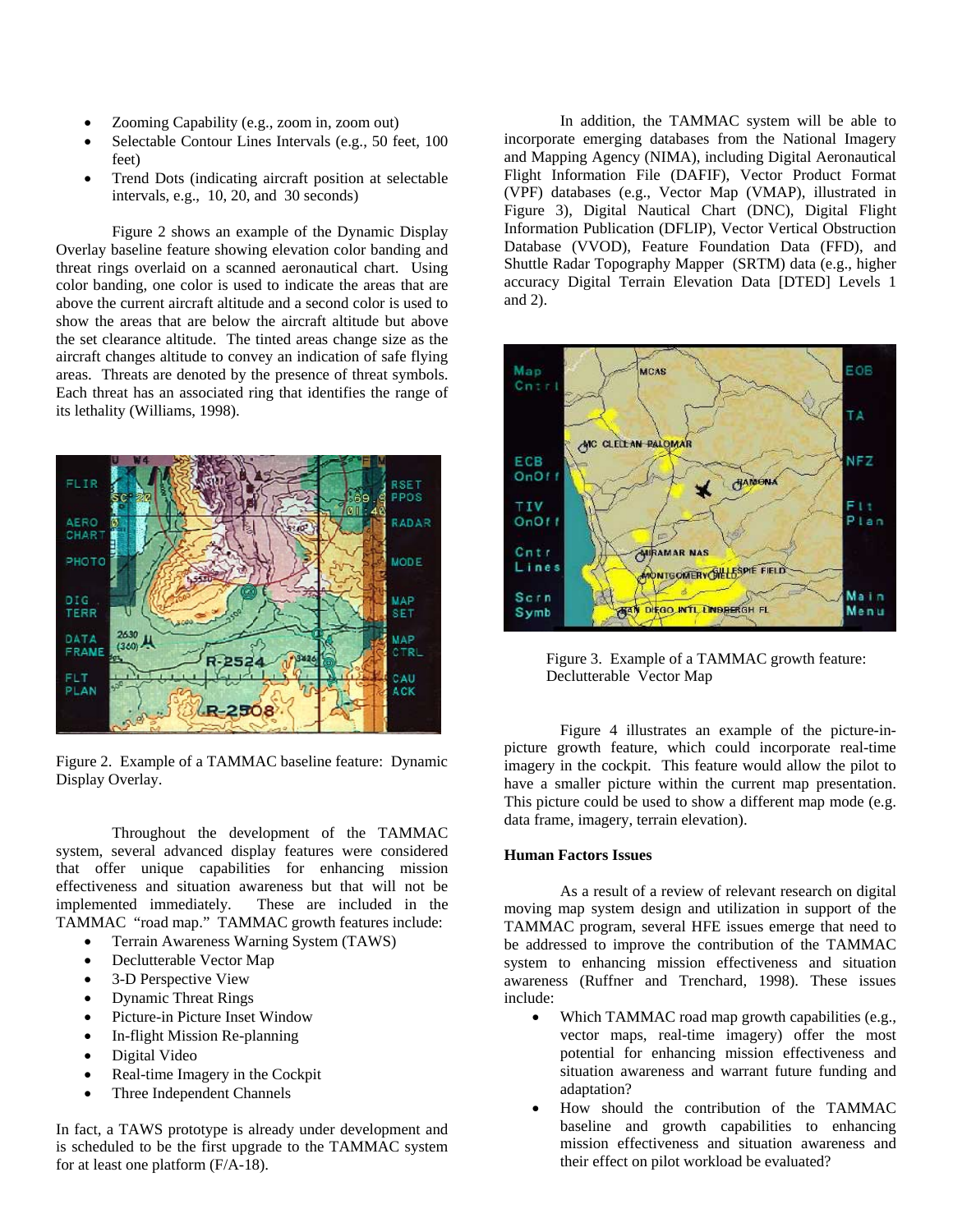- Zooming Capability (e.g., zoom in, zoom out)
- Selectable Contour Lines Intervals (e.g., 50 feet, 100) feet)
- Trend Dots (indicating aircraft position at selectable intervals, e.g., 10, 20, and 30 seconds)

Figure 2 shows an example of the Dynamic Display Overlay baseline feature showing elevation color banding and threat rings overlaid on a scanned aeronautical chart. Using color banding, one color is used to indicate the areas that are above the current aircraft altitude and a second color is used to show the areas that are below the aircraft altitude but above the set clearance altitude. The tinted areas change size as the aircraft changes altitude to convey an indication of safe flying areas. Threats are denoted by the presence of threat symbols. Each threat has an associated ring that identifies the range of its lethality (Williams, 1998).



Figure 2. Example of a TAMMAC baseline feature: Dynamic Display Overlay.

Throughout the development of the TAMMAC system, several advanced display features were considered that offer unique capabilities for enhancing mission effectiveness and situation awareness but that will not be implemented immediately. These are included in the TAMMAC "road map." TAMMAC growth features include:

- Terrain Awareness Warning System (TAWS)
- Declutterable Vector Map
- 3-D Perspective View
- Dynamic Threat Rings
- Picture-in Picture Inset Window
- In-flight Mission Re-planning
- Digital Video
- Real-time Imagery in the Cockpit
- Three Independent Channels

In fact, a TAWS prototype is already under development and is scheduled to be the first upgrade to the TAMMAC system for at least one platform (F/A-18).

In addition, the TAMMAC system will be able to incorporate emerging databases from the National Imagery and Mapping Agency (NIMA), including Digital Aeronautical Flight Information File (DAFIF), Vector Product Format (VPF) databases (e.g., Vector Map (VMAP), illustrated in Figure 3), Digital Nautical Chart (DNC), Digital Flight Information Publication (DFLIP), Vector Vertical Obstruction Database (VVOD), Feature Foundation Data (FFD), and Shuttle Radar Topography Mapper (SRTM) data (e.g., higher accuracy Digital Terrain Elevation Data [DTED] Levels 1 and 2).



Figure 3. Example of a TAMMAC growth feature: Declutterable Vector Map

Figure 4 illustrates an example of the picture-inpicture growth feature, which could incorporate real-time imagery in the cockpit. This feature would allow the pilot to have a smaller picture within the current map presentation. This picture could be used to show a different map mode (e.g. data frame, imagery, terrain elevation).

# **Human Factors Issues**

As a result of a review of relevant research on digital moving map system design and utilization in support of the TAMMAC program, several HFE issues emerge that need to be addressed to improve the contribution of the TAMMAC system to enhancing mission effectiveness and situation awareness (Ruffner and Trenchard, 1998). These issues include:

- Which TAMMAC road map growth capabilities (e.g., vector maps, real-time imagery) offer the most potential for enhancing mission effectiveness and situation awareness and warrant future funding and adaptation?
- How should the contribution of the TAMMAC baseline and growth capabilities to enhancing mission effectiveness and situation awareness and their effect on pilot workload be evaluated?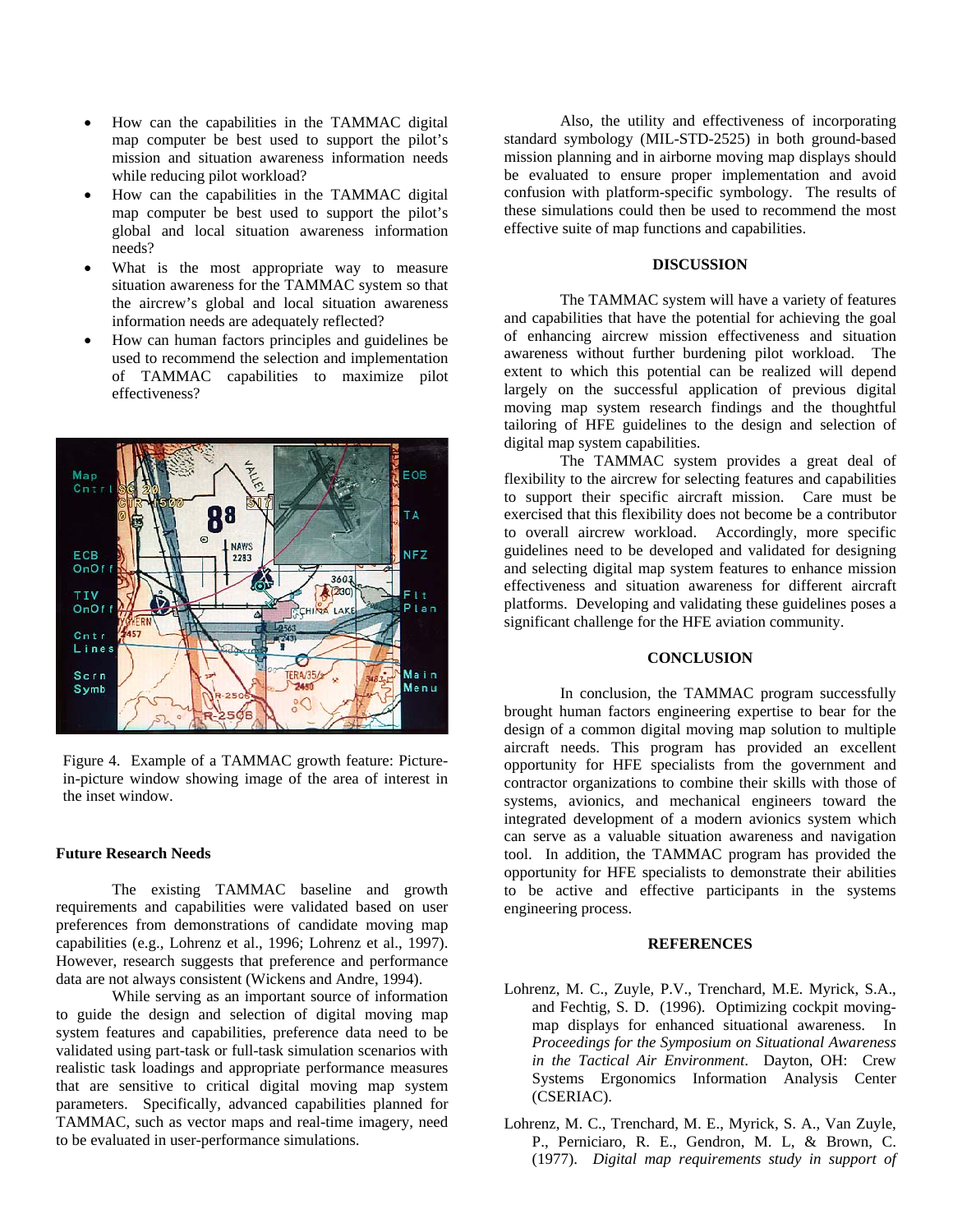- How can the capabilities in the TAMMAC digital map computer be best used to support the pilot's mission and situation awareness information needs while reducing pilot workload?
- How can the capabilities in the TAMMAC digital map computer be best used to support the pilot's global and local situation awareness information needs?
- What is the most appropriate way to measure situation awareness for the TAMMAC system so that the aircrew's global and local situation awareness information needs are adequately reflected?
- How can human factors principles and guidelines be used to recommend the selection and implementation of TAMMAC capabilities to maximize pilot effectiveness?



Figure 4. Example of a TAMMAC growth feature: Picturein-picture window showing image of the area of interest in the inset window.

#### **Future Research Needs**

The existing TAMMAC baseline and growth requirements and capabilities were validated based on user preferences from demonstrations of candidate moving map capabilities (e.g., Lohrenz et al., 1996; Lohrenz et al., 1997). However, research suggests that preference and performance data are not always consistent (Wickens and Andre, 1994).

While serving as an important source of information to guide the design and selection of digital moving map system features and capabilities, preference data need to be validated using part-task or full-task simulation scenarios with realistic task loadings and appropriate performance measures that are sensitive to critical digital moving map system parameters. Specifically, advanced capabilities planned for TAMMAC, such as vector maps and real-time imagery, need to be evaluated in user-performance simulations.

Also, the utility and effectiveness of incorporating standard symbology (MIL-STD-2525) in both ground-based mission planning and in airborne moving map displays should be evaluated to ensure proper implementation and avoid confusion with platform-specific symbology. The results of these simulations could then be used to recommend the most effective suite of map functions and capabilities.

### **DISCUSSION**

The TAMMAC system will have a variety of features and capabilities that have the potential for achieving the goal of enhancing aircrew mission effectiveness and situation awareness without further burdening pilot workload. The extent to which this potential can be realized will depend largely on the successful application of previous digital moving map system research findings and the thoughtful tailoring of HFE guidelines to the design and selection of digital map system capabilities.

The TAMMAC system provides a great deal of flexibility to the aircrew for selecting features and capabilities to support their specific aircraft mission. Care must be exercised that this flexibility does not become be a contributor to overall aircrew workload. Accordingly, more specific guidelines need to be developed and validated for designing and selecting digital map system features to enhance mission effectiveness and situation awareness for different aircraft platforms. Developing and validating these guidelines poses a significant challenge for the HFE aviation community.

### **CONCLUSION**

In conclusion, the TAMMAC program successfully brought human factors engineering expertise to bear for the design of a common digital moving map solution to multiple aircraft needs. This program has provided an excellent opportunity for HFE specialists from the government and contractor organizations to combine their skills with those of systems, avionics, and mechanical engineers toward the integrated development of a modern avionics system which can serve as a valuable situation awareness and navigation tool. In addition, the TAMMAC program has provided the opportunity for HFE specialists to demonstrate their abilities to be active and effective participants in the systems engineering process.

#### **REFERENCES**

- Lohrenz, M. C., Zuyle, P.V., Trenchard, M.E. Myrick, S.A., and Fechtig, S. D. (1996). Optimizing cockpit movingmap displays for enhanced situational awareness. In *Proceedings for the Symposium on Situational Awareness in the Tactical Air Environment*. Dayton, OH: Crew Systems Ergonomics Information Analysis Center (CSERIAC).
- Lohrenz, M. C., Trenchard, M. E., Myrick, S. A., Van Zuyle, P., Perniciaro, R. E., Gendron, M. L, & Brown, C. (1977). *Digital map requirements study in support of*